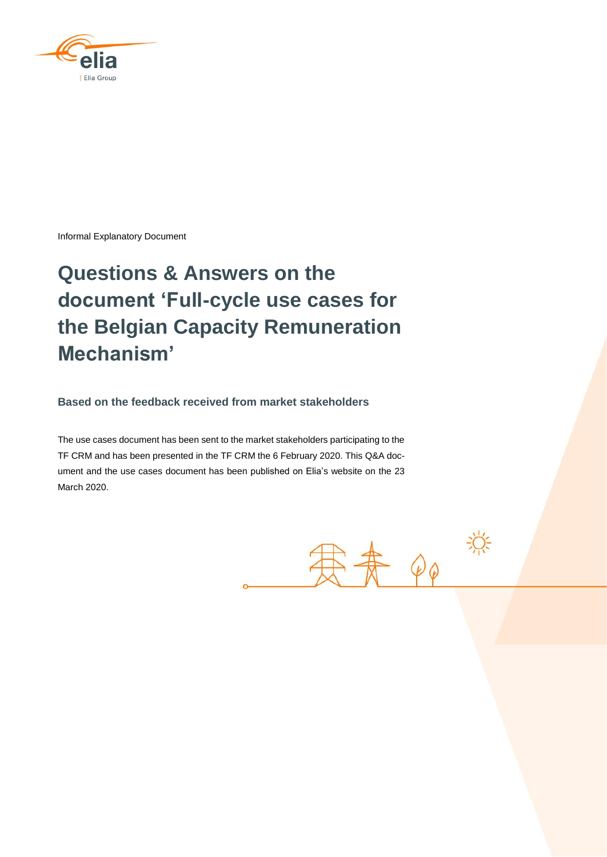

Informal Explanatory Document

# **Questions & Answers on the document 'Full-cycle use cases for the Belgian Capacity Remuneration Mechanism'**

**Based on the feedback received from market stakeholders**

The use cases document has been sent to the market stakeholders participating to the TF CRM and has been presented in the TF CRM the 6 February 2020. This Q&A document and the use cases document has been published on Elia's website on the 23 March 2020.

患者 QQ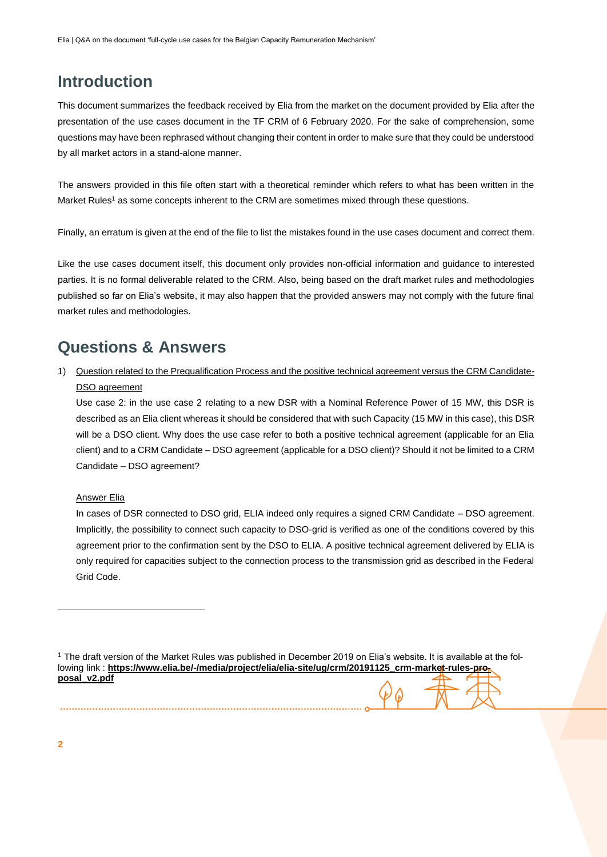# **Introduction**

This document summarizes the feedback received by Elia from the market on the document provided by Elia after the presentation of the use cases document in the TF CRM of 6 February 2020. For the sake of comprehension, some questions may have been rephrased without changing their content in order to make sure that they could be understood by all market actors in a stand-alone manner.

The answers provided in this file often start with a theoretical reminder which refers to what has been written in the Market Rules<sup>1</sup> as some concepts inherent to the CRM are sometimes mixed through these questions.

Finally, an erratum is given at the end of the file to list the mistakes found in the use cases document and correct them.

Like the use cases document itself, this document only provides non-official information and guidance to interested parties. It is no formal deliverable related to the CRM. Also, being based on the draft market rules and methodologies published so far on Elia's website, it may also happen that the provided answers may not comply with the future final market rules and methodologies.

# **Questions & Answers**

1) Question related to the Prequalification Process and the positive technical agreement versus the CRM Candidate-DSO agreement

Use case 2: in the use case 2 relating to a new DSR with a Nominal Reference Power of 15 MW, this DSR is described as an Elia client whereas it should be considered that with such Capacity (15 MW in this case), this DSR will be a DSO client. Why does the use case refer to both a positive technical agreement (applicable for an Elia client) and to a CRM Candidate – DSO agreement (applicable for a DSO client)? Should it not be limited to a CRM Candidate – DSO agreement?

#### Answer Elia

In cases of DSR connected to DSO grid, ELIA indeed only requires a signed CRM Candidate – DSO agreement. Implicitly, the possibility to connect such capacity to DSO-grid is verified as one of the conditions covered by this agreement prior to the confirmation sent by the DSO to ELIA. A positive technical agreement delivered by ELIA is only required for capacities subject to the connection process to the transmission grid as described in the Federal Grid Code.

<sup>&</sup>lt;sup>1</sup> The draft version of the Market Rules was published in December 2019 on Elia's website. It is available at the following link : [https://www.elia.be/-/media/project/elia/elia-site/ug/crm/20191125\\_crm-market-rules-pro](https://www.elia.be/-/media/project/elia/elia-site/ug/crm/20191125_crm-market-rules-proposal_v2.pdf)**[posal\\_v2.pdf](https://www.elia.be/-/media/project/elia/elia-site/ug/crm/20191125_crm-market-rules-proposal_v2.pdf)**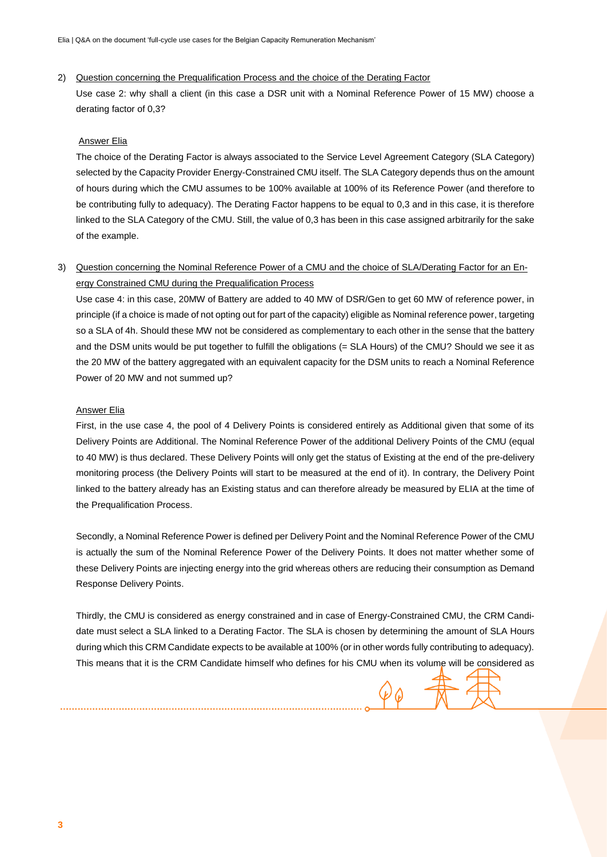#### 2) Question concerning the Prequalification Process and the choice of the Derating Factor

Use case 2: why shall a client (in this case a DSR unit with a Nominal Reference Power of 15 MW) choose a derating factor of 0,3?

#### Answer Elia

The choice of the Derating Factor is always associated to the Service Level Agreement Category (SLA Category) selected by the Capacity Provider Energy-Constrained CMU itself. The SLA Category depends thus on the amount of hours during which the CMU assumes to be 100% available at 100% of its Reference Power (and therefore to be contributing fully to adequacy). The Derating Factor happens to be equal to 0,3 and in this case, it is therefore linked to the SLA Category of the CMU. Still, the value of 0,3 has been in this case assigned arbitrarily for the sake of the example.

## 3) Question concerning the Nominal Reference Power of a CMU and the choice of SLA/Derating Factor for an Energy Constrained CMU during the Prequalification Process

Use case 4: in this case, 20MW of Battery are added to 40 MW of DSR/Gen to get 60 MW of reference power, in principle (if a choice is made of not opting out for part of the capacity) eligible as Nominal reference power, targeting so a SLA of 4h. Should these MW not be considered as complementary to each other in the sense that the battery and the DSM units would be put together to fulfill the obligations (= SLA Hours) of the CMU? Should we see it as the 20 MW of the battery aggregated with an equivalent capacity for the DSM units to reach a Nominal Reference Power of 20 MW and not summed up?

#### **Answer Elia**

First, in the use case 4, the pool of 4 Delivery Points is considered entirely as Additional given that some of its Delivery Points are Additional. The Nominal Reference Power of the additional Delivery Points of the CMU (equal to 40 MW) is thus declared. These Delivery Points will only get the status of Existing at the end of the pre-delivery monitoring process (the Delivery Points will start to be measured at the end of it). In contrary, the Delivery Point linked to the battery already has an Existing status and can therefore already be measured by ELIA at the time of the Prequalification Process.

Secondly, a Nominal Reference Power is defined per Delivery Point and the Nominal Reference Power of the CMU is actually the sum of the Nominal Reference Power of the Delivery Points. It does not matter whether some of these Delivery Points are injecting energy into the grid whereas others are reducing their consumption as Demand Response Delivery Points.

Thirdly, the CMU is considered as energy constrained and in case of Energy-Constrained CMU, the CRM Candidate must select a SLA linked to a Derating Factor. The SLA is chosen by determining the amount of SLA Hours during which this CRM Candidate expects to be available at 100% (or in other words fully contributing to adequacy). This means that it is the CRM Candidate himself who defines for his CMU when its volume will be considered as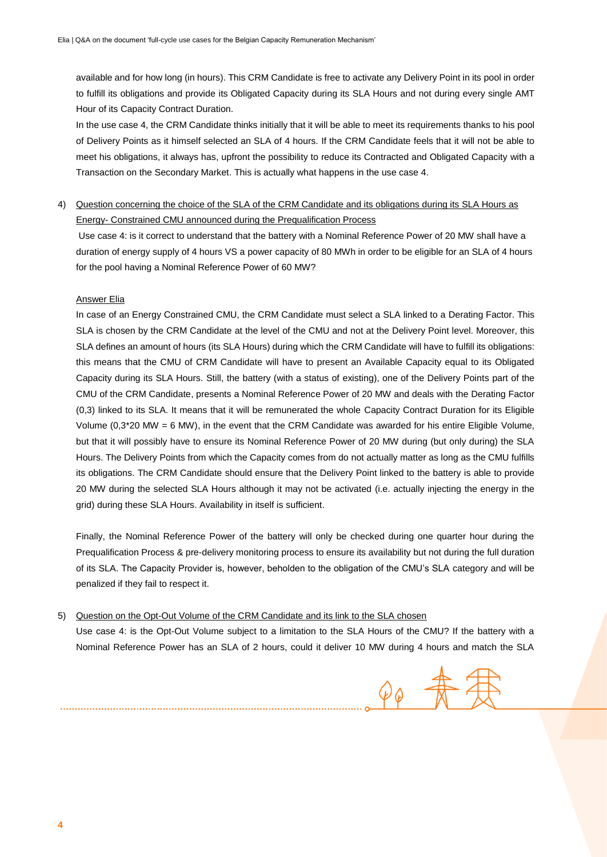available and for how long (in hours). This CRM Candidate is free to activate any Delivery Point in its pool in order to fulfill its obligations and provide its Obligated Capacity during its SLA Hours and not during every single AMT Hour of its Capacity Contract Duration.

In the use case 4, the CRM Candidate thinks initially that it will be able to meet its requirements thanks to his pool of Delivery Points as it himself selected an SLA of 4 hours. If the CRM Candidate feels that it will not be able to meet his obligations, it always has, upfront the possibility to reduce its Contracted and Obligated Capacity with a Transaction on the Secondary Market. This is actually what happens in the use case 4.

4) Question concerning the choice of the SLA of the CRM Candidate and its obligations during its SLA Hours as Energy- Constrained CMU announced during the Prequalification Process

Use case 4: is it correct to understand that the battery with a Nominal Reference Power of 20 MW shall have a duration of energy supply of 4 hours VS a power capacity of 80 MWh in order to be eligible for an SLA of 4 hours for the pool having a Nominal Reference Power of 60 MW?

#### Answer Elia

In case of an Energy Constrained CMU, the CRM Candidate must select a SLA linked to a Derating Factor. This SLA is chosen by the CRM Candidate at the level of the CMU and not at the Delivery Point level. Moreover, this SLA defines an amount of hours (its SLA Hours) during which the CRM Candidate will have to fulfill its obligations: this means that the CMU of CRM Candidate will have to present an Available Capacity equal to its Obligated Capacity during its SLA Hours. Still, the battery (with a status of existing), one of the Delivery Points part of the CMU of the CRM Candidate, presents a Nominal Reference Power of 20 MW and deals with the Derating Factor (0,3) linked to its SLA. It means that it will be remunerated the whole Capacity Contract Duration for its Eligible Volume (0,3\*20 MW = 6 MW), in the event that the CRM Candidate was awarded for his entire Eligible Volume, but that it will possibly have to ensure its Nominal Reference Power of 20 MW during (but only during) the SLA Hours. The Delivery Points from which the Capacity comes from do not actually matter as long as the CMU fulfills its obligations. The CRM Candidate should ensure that the Delivery Point linked to the battery is able to provide 20 MW during the selected SLA Hours although it may not be activated (i.e. actually injecting the energy in the grid) during these SLA Hours. Availability in itself is sufficient.

Finally, the Nominal Reference Power of the battery will only be checked during one quarter hour during the Prequalification Process & pre-delivery monitoring process to ensure its availability but not during the full duration of its SLA. The Capacity Provider is, however, beholden to the obligation of the CMU's SLA category and will be penalized if they fail to respect it.

#### 5) Question on the Opt-Out Volume of the CRM Candidate and its link to the SLA chosen

Use case 4: is the Opt-Out Volume subject to a limitation to the SLA Hours of the CMU? If the battery with a Nominal Reference Power has an SLA of 2 hours, could it deliver 10 MW during 4 hours and match the SLA

 $\varphi_{\varphi}$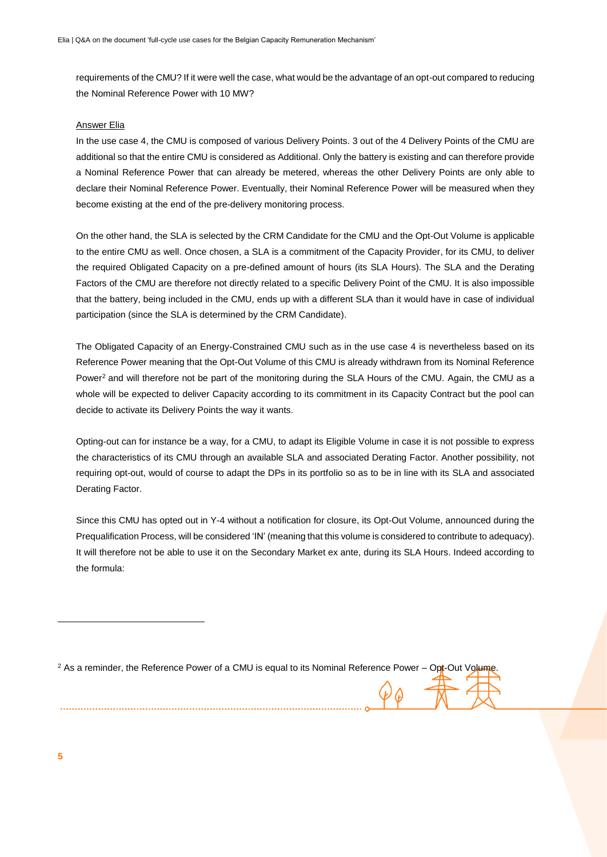requirements of the CMU? If it were well the case, what would be the advantage of an opt-out compared to reducing the Nominal Reference Power with 10 MW?

#### Answer Elia

In the use case 4, the CMU is composed of various Delivery Points. 3 out of the 4 Delivery Points of the CMU are additional so that the entire CMU is considered as Additional. Only the battery is existing and can therefore provide a Nominal Reference Power that can already be metered, whereas the other Delivery Points are only able to declare their Nominal Reference Power. Eventually, their Nominal Reference Power will be measured when they become existing at the end of the pre-delivery monitoring process.

On the other hand, the SLA is selected by the CRM Candidate for the CMU and the Opt-Out Volume is applicable to the entire CMU as well. Once chosen, a SLA is a commitment of the Capacity Provider, for its CMU, to deliver the required Obligated Capacity on a pre-defined amount of hours (its SLA Hours). The SLA and the Derating Factors of the CMU are therefore not directly related to a specific Delivery Point of the CMU. It is also impossible that the battery, being included in the CMU, ends up with a different SLA than it would have in case of individual participation (since the SLA is determined by the CRM Candidate).

The Obligated Capacity of an Energy-Constrained CMU such as in the use case 4 is nevertheless based on its Reference Power meaning that the Opt-Out Volume of this CMU is already withdrawn from its Nominal Reference Power<sup>2</sup> and will therefore not be part of the monitoring during the SLA Hours of the CMU. Again, the CMU as a whole will be expected to deliver Capacity according to its commitment in its Capacity Contract but the pool can decide to activate its Delivery Points the way it wants.

Opting-out can for instance be a way, for a CMU, to adapt its Eligible Volume in case it is not possible to express the characteristics of its CMU through an available SLA and associated Derating Factor. Another possibility, not requiring opt-out, would of course to adapt the DPs in its portfolio so as to be in line with its SLA and associated Derating Factor.

Since this CMU has opted out in Y-4 without a notification for closure, its Opt-Out Volume, announced during the Prequalification Process, will be considered 'IN' (meaning that this volume is considered to contribute to adequacy). It will therefore not be able to use it on the Secondary Market ex ante, during its SLA Hours. Indeed according to the formula:

 $2$  As a reminder, the Reference Power of a CMU is equal to its Nominal Reference Power – Opt-Out Volume.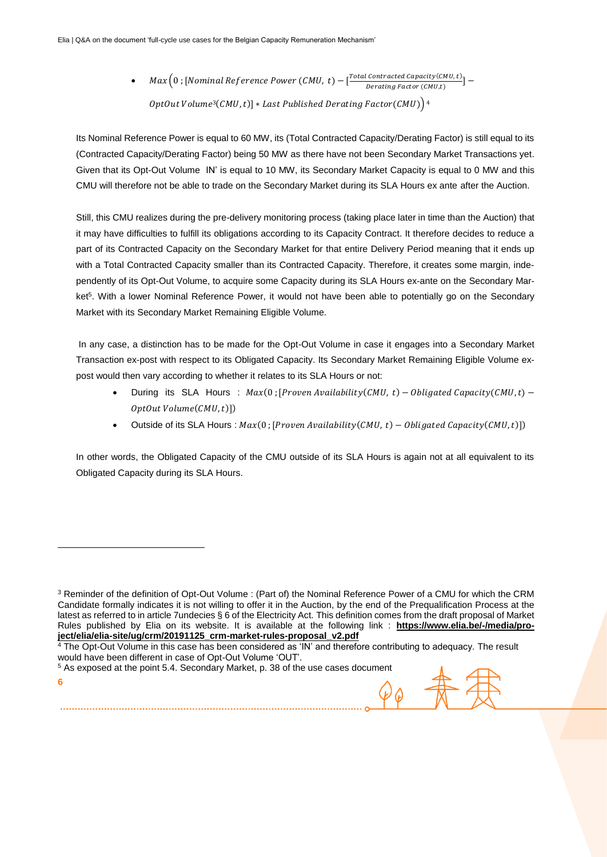•  $Max(0; [Nominal Reference Power (CMU, t) - [<sup>Total Contracted Capacity(CMU,t)</sup>]$  $Derating Factor (CMU, t)$ OptOut Volume<sup>3</sup>(CMU, t)] \* Last Published Derating Factor(CMU))<sup>4</sup>

Its Nominal Reference Power is equal to 60 MW, its (Total Contracted Capacity/Derating Factor) is still equal to its (Contracted Capacity/Derating Factor) being 50 MW as there have not been Secondary Market Transactions yet. Given that its Opt-Out Volume IN' is equal to 10 MW, its Secondary Market Capacity is equal to 0 MW and this CMU will therefore not be able to trade on the Secondary Market during its SLA Hours ex ante after the Auction.

Still, this CMU realizes during the pre-delivery monitoring process (taking place later in time than the Auction) that it may have difficulties to fulfill its obligations according to its Capacity Contract. It therefore decides to reduce a part of its Contracted Capacity on the Secondary Market for that entire Delivery Period meaning that it ends up with a Total Contracted Capacity smaller than its Contracted Capacity. Therefore, it creates some margin, independently of its Opt-Out Volume, to acquire some Capacity during its SLA Hours ex-ante on the Secondary Market<sup>5</sup>. With a lower Nominal Reference Power, it would not have been able to potentially go on the Secondary Market with its Secondary Market Remaining Eligible Volume.

In any case, a distinction has to be made for the Opt-Out Volume in case it engages into a Secondary Market Transaction ex-post with respect to its Obligated Capacity. Its Secondary Market Remaining Eligible Volume expost would then vary according to whether it relates to its SLA Hours or not:

- During its SLA Hours :  $Max(0; [Proven Available] \cup (CMU, t) Obligated Capacity(CMU, t) 0ptOutVolume(CMU,t)])$
- Outside of its SLA Hours :  $Max(0; [Proven Availableity(CMU, t) Obligated Capacity(CMU, t)])$

In other words, the Obligated Capacity of the CMU outside of its SLA Hours is again not at all equivalent to its Obligated Capacity during its SLA Hours.

 $\varphi$   $\theta$ 

**6**

 $\overline{a}$ 

<sup>3</sup> Reminder of the definition of Opt-Out Volume : (Part of) the Nominal Reference Power of a CMU for which the CRM Candidate formally indicates it is not willing to offer it in the Auction, by the end of the Prequalification Process at the latest as referred to in article 7undecies § 6 of the Electricity Act. This definition comes from the draft proposal of Market Rules published by Elia on its website. It is available at the following link : **[https://www.elia.be/-/media/pro](https://www.elia.be/-/media/project/elia/elia-site/ug/crm/20191125_crm-market-rules-proposal_v2.pdf)[ject/elia/elia-site/ug/crm/20191125\\_crm-market-rules-proposal\\_v2.pdf](https://www.elia.be/-/media/project/elia/elia-site/ug/crm/20191125_crm-market-rules-proposal_v2.pdf)**

<sup>&</sup>lt;sup>4</sup> The Opt-Out Volume in this case has been considered as 'IN' and therefore contributing to adequacy. The result would have been different in case of Opt-Out Volume 'OUT'.

<sup>5</sup> As exposed at the point 5.4. Secondary Market, p. 38 of the use cases document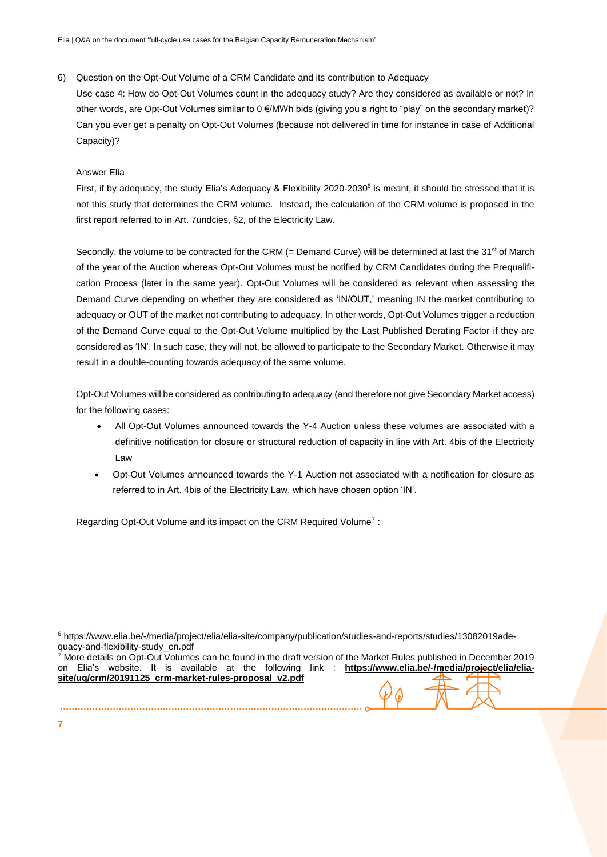Elia | Q&A on the document 'full-cycle use cases for the Belgian Capacity Remuneration Mechanism'

#### 6) Question on the Opt-Out Volume of a CRM Candidate and its contribution to Adequacy

Use case 4: How do Opt-Out Volumes count in the adequacy study? Are they considered as available or not? In other words, are Opt-Out Volumes similar to 0 €/MWh bids (giving you a right to "play" on the secondary market)? Can you ever get a penalty on Opt-Out Volumes (because not delivered in time for instance in case of Additional Capacity)?

### Answer Elia

First, if by adequacy, the study Elia's Adequacy & Flexibility 2020-2030<sup>6</sup> is meant, it should be stressed that it is not this study that determines the CRM volume. Instead, the calculation of the CRM volume is proposed in the first report referred to in Art. 7undcies, §2, of the Electricity Law.

Secondly, the volume to be contracted for the CRM (= Demand Curve) will be determined at last the  $31^{st}$  of March of the year of the Auction whereas Opt-Out Volumes must be notified by CRM Candidates during the Prequalification Process (later in the same year). Opt-Out Volumes will be considered as relevant when assessing the Demand Curve depending on whether they are considered as 'IN/OUT,' meaning IN the market contributing to adequacy or OUT of the market not contributing to adequacy. In other words, Opt-Out Volumes trigger a reduction of the Demand Curve equal to the Opt-Out Volume multiplied by the Last Published Derating Factor if they are considered as 'IN'. In such case, they will not, be allowed to participate to the Secondary Market. Otherwise it may result in a double-counting towards adequacy of the same volume.

Opt-Out Volumes will be considered as contributing to adequacy (and therefore not give Secondary Market access) for the following cases:

- All Opt-Out Volumes announced towards the Y-4 Auction unless these volumes are associated with a definitive notification for closure or structural reduction of capacity in line with Art. 4bis of the Electricity Law
- Opt-Out Volumes announced towards the Y-1 Auction not associated with a notification for closure as referred to in Art. 4bis of the Electricity Law, which have chosen option 'IN'.

Regarding Opt-Out Volume and its impact on the CRM Required Volume<sup>7</sup>:

**7**

<sup>6</sup> https://www.elia.be/-/media/project/elia/elia-site/company/publication/studies-and-reports/studies/13082019adequacy-and-flexibility-study\_en.pdf

<sup>7</sup> More details on Opt-Out Volumes can be found in the draft version of the Market Rules published in December 2019 on Elia's website. It is available at the following link : **[https://www.elia.be/-/media/project/elia/elia](https://www.elia.be/-/media/project/elia/elia-site/ug/crm/20191125_crm-market-rules-proposal_v2.pdf)[site/ug/crm/20191125\\_crm-market-rules-proposal\\_v2.pdf](https://www.elia.be/-/media/project/elia/elia-site/ug/crm/20191125_crm-market-rules-proposal_v2.pdf)**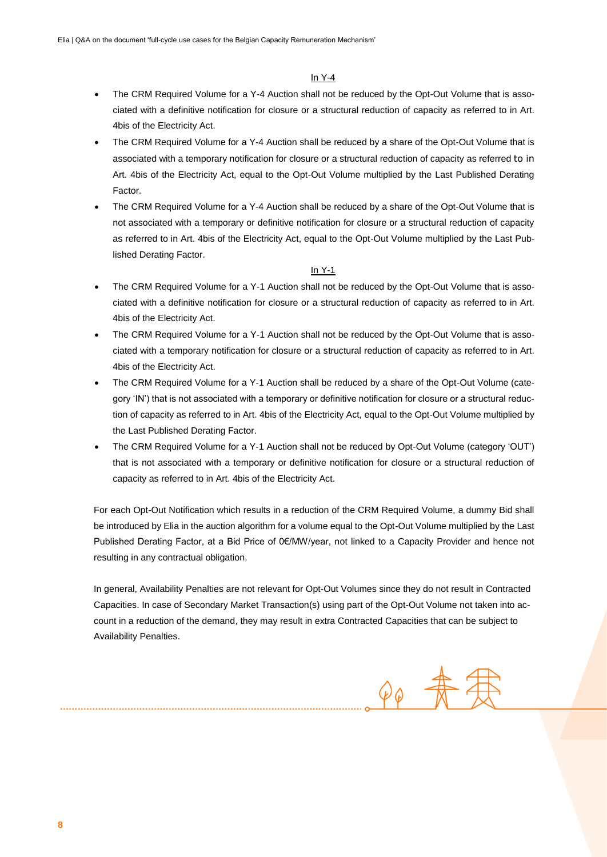#### In Y-4

- The CRM Required Volume for a Y-4 Auction shall not be reduced by the Opt-Out Volume that is associated with a definitive notification for closure or a structural reduction of capacity as referred to in Art. 4bis of the Electricity Act.
- The CRM Required Volume for a Y-4 Auction shall be reduced by a share of the Opt-Out Volume that is associated with a temporary notification for closure or a structural reduction of capacity as referred to in Art. 4bis of the Electricity Act, equal to the Opt-Out Volume multiplied by the Last Published Derating Factor.
- The CRM Required Volume for a Y-4 Auction shall be reduced by a share of the Opt-Out Volume that is not associated with a temporary or definitive notification for closure or a structural reduction of capacity as referred to in Art. 4bis of the Electricity Act, equal to the Opt-Out Volume multiplied by the Last Published Derating Factor.

#### In Y-1

- The CRM Required Volume for a Y-1 Auction shall not be reduced by the Opt-Out Volume that is associated with a definitive notification for closure or a structural reduction of capacity as referred to in Art. 4bis of the Electricity Act.
- The CRM Required Volume for a Y-1 Auction shall not be reduced by the Opt-Out Volume that is associated with a temporary notification for closure or a structural reduction of capacity as referred to in Art. 4bis of the Electricity Act.
- The CRM Required Volume for a Y-1 Auction shall be reduced by a share of the Opt-Out Volume (category 'IN') that is not associated with a temporary or definitive notification for closure or a structural reduction of capacity as referred to in Art. 4bis of the Electricity Act, equal to the Opt-Out Volume multiplied by the Last Published Derating Factor.
- The CRM Required Volume for a Y-1 Auction shall not be reduced by Opt-Out Volume (category 'OUT') that is not associated with a temporary or definitive notification for closure or a structural reduction of capacity as referred to in Art. 4bis of the Electricity Act.

For each Opt-Out Notification which results in a reduction of the CRM Required Volume, a dummy Bid shall be introduced by Elia in the auction algorithm for a volume equal to the Opt-Out Volume multiplied by the Last Published Derating Factor, at a Bid Price of 0€/MW/year, not linked to a Capacity Provider and hence not resulting in any contractual obligation.

In general, Availability Penalties are not relevant for Opt-Out Volumes since they do not result in Contracted Capacities. In case of Secondary Market Transaction(s) using part of the Opt-Out Volume not taken into account in a reduction of the demand, they may result in extra Contracted Capacities that can be subject to Availability Penalties.

 $\varphi_{\varphi}$   $\frac{1}{N}$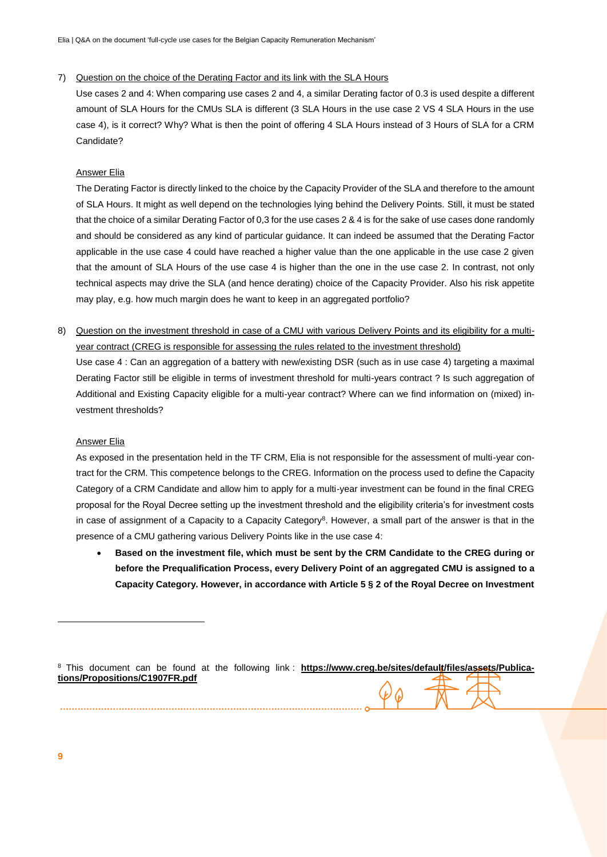#### 7) Question on the choice of the Derating Factor and its link with the SLA Hours

Use cases 2 and 4: When comparing use cases 2 and 4, a similar Derating factor of 0.3 is used despite a different amount of SLA Hours for the CMUs SLA is different (3 SLA Hours in the use case 2 VS 4 SLA Hours in the use case 4), is it correct? Why? What is then the point of offering 4 SLA Hours instead of 3 Hours of SLA for a CRM Candidate?

#### Answer Elia

The Derating Factor is directly linked to the choice by the Capacity Provider of the SLA and therefore to the amount of SLA Hours. It might as well depend on the technologies lying behind the Delivery Points. Still, it must be stated that the choice of a similar Derating Factor of 0,3 for the use cases 2 & 4 is for the sake of use cases done randomly and should be considered as any kind of particular guidance. It can indeed be assumed that the Derating Factor applicable in the use case 4 could have reached a higher value than the one applicable in the use case 2 given that the amount of SLA Hours of the use case 4 is higher than the one in the use case 2. In contrast, not only technical aspects may drive the SLA (and hence derating) choice of the Capacity Provider. Also his risk appetite may play, e.g. how much margin does he want to keep in an aggregated portfolio?

8) Question on the investment threshold in case of a CMU with various Delivery Points and its eligibility for a multiyear contract (CREG is responsible for assessing the rules related to the investment threshold)

Use case 4 : Can an aggregation of a battery with new/existing DSR (such as in use case 4) targeting a maximal Derating Factor still be eligible in terms of investment threshold for multi-years contract ? Is such aggregation of Additional and Existing Capacity eligible for a multi-year contract? Where can we find information on (mixed) investment thresholds?

#### Answer Elia

As exposed in the presentation held in the TF CRM, Elia is not responsible for the assessment of multi-year contract for the CRM. This competence belongs to the CREG. Information on the process used to define the Capacity Category of a CRM Candidate and allow him to apply for a multi-year investment can be found in the final CREG proposal for the Royal Decree setting up the investment threshold and the eligibility criteria's for investment costs in case of assignment of a Capacity to a Capacity Category<sup>8</sup>. However, a small part of the answer is that in the presence of a CMU gathering various Delivery Points like in the use case 4:

 **Based on the investment file, which must be sent by the CRM Candidate to the CREG during or before the Prequalification Process, every Delivery Point of an aggregated CMU is assigned to a Capacity Category. However, in accordance with Article 5 § 2 of the Royal Decree on Investment** 

<sup>8</sup> This document can be found at the following link: [https://www.creg.be/sites/default/files/assets/Publica](https://www.creg.be/sites/default/files/assets/Publications/Propositions/C1907FR.pdf)**[tions/Propositions/C1907FR.pdf](https://www.creg.be/sites/default/files/assets/Publications/Propositions/C1907FR.pdf)**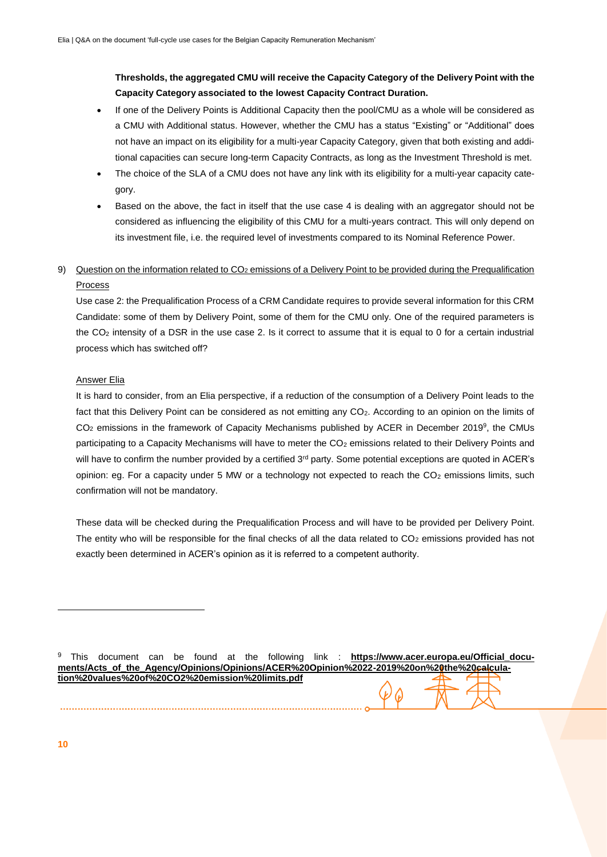**Thresholds, the aggregated CMU will receive the Capacity Category of the Delivery Point with the Capacity Category associated to the lowest Capacity Contract Duration.** 

- If one of the Delivery Points is Additional Capacity then the pool/CMU as a whole will be considered as a CMU with Additional status. However, whether the CMU has a status "Existing" or "Additional" does not have an impact on its eligibility for a multi-year Capacity Category, given that both existing and additional capacities can secure long-term Capacity Contracts, as long as the Investment Threshold is met.
- The choice of the SLA of a CMU does not have any link with its eligibility for a multi-year capacity category.
- Based on the above, the fact in itself that the use case 4 is dealing with an aggregator should not be considered as influencing the eligibility of this CMU for a multi-years contract. This will only depend on its investment file, i.e. the required level of investments compared to its Nominal Reference Power.

## 9) Question on the information related to CO<sub>2</sub> emissions of a Delivery Point to be provided during the Prequalification Process

Use case 2: the Prequalification Process of a CRM Candidate requires to provide several information for this CRM Candidate: some of them by Delivery Point, some of them for the CMU only. One of the required parameters is the CO<sup>2</sup> intensity of a DSR in the use case 2. Is it correct to assume that it is equal to 0 for a certain industrial process which has switched off?

#### Answer Elia

It is hard to consider, from an Elia perspective, if a reduction of the consumption of a Delivery Point leads to the fact that this Delivery Point can be considered as not emitting any CO<sub>2</sub>. According to an opinion on the limits of  $CO<sub>2</sub>$  emissions in the framework of Capacity Mechanisms published by ACER in December 2019<sup>9</sup>, the CMUs participating to a Capacity Mechanisms will have to meter the CO<sub>2</sub> emissions related to their Delivery Points and will have to confirm the number provided by a certified 3<sup>rd</sup> party. Some potential exceptions are quoted in ACER's opinion: eg. For a capacity under 5 MW or a technology not expected to reach the CO<sub>2</sub> emissions limits, such confirmation will not be mandatory.

These data will be checked during the Prequalification Process and will have to be provided per Delivery Point. The entity who will be responsible for the final checks of all the data related to  $CO<sub>2</sub>$  emissions provided has not exactly been determined in ACER's opinion as it is referred to a competent authority.

<sup>9</sup> This document can be found at the following link : **[https://www.acer.europa.eu/Official\\_docu](https://www.acer.europa.eu/Official_documents/Acts_of_the_Agency/Opinions/Opinions/ACER%20Opinion%2022-2019%20on%20the%20calculation%20values%20of%20CO2%20emission%20limits.pdf)[ments/Acts\\_of\\_the\\_Agency/Opinions/Opinions/ACER%20Opinion%2022-2019%20on%20the%20calcula](https://www.acer.europa.eu/Official_documents/Acts_of_the_Agency/Opinions/Opinions/ACER%20Opinion%2022-2019%20on%20the%20calculation%20values%20of%20CO2%20emission%20limits.pdf)[tion%20values%20of%20CO2%20emission%20limits.pdf](https://www.acer.europa.eu/Official_documents/Acts_of_the_Agency/Opinions/Opinions/ACER%20Opinion%2022-2019%20on%20the%20calculation%20values%20of%20CO2%20emission%20limits.pdf)**

**10**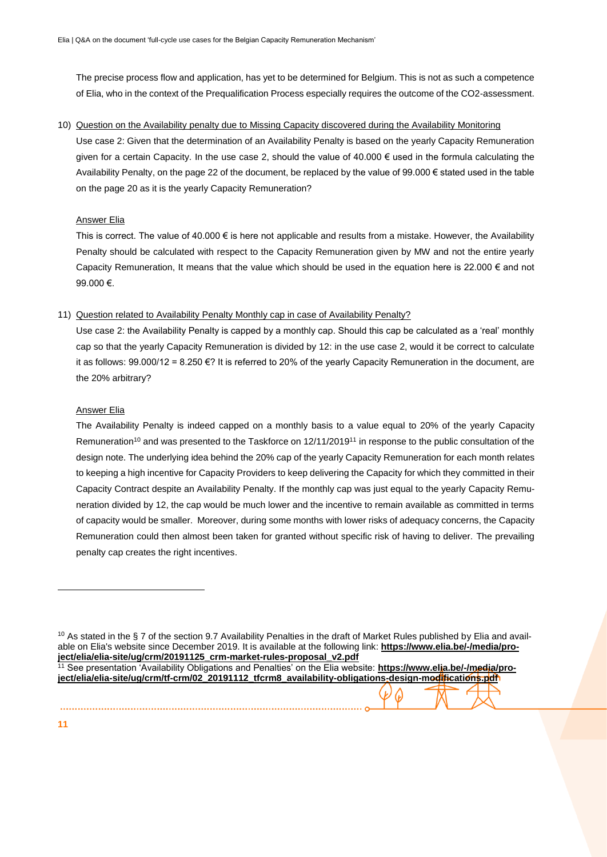The precise process flow and application, has yet to be determined for Belgium. This is not as such a competence of Elia, who in the context of the Prequalification Process especially requires the outcome of the CO2-assessment.

10) Question on the Availability penalty due to Missing Capacity discovered during the Availability Monitoring

Use case 2: Given that the determination of an Availability Penalty is based on the yearly Capacity Remuneration given for a certain Capacity. In the use case 2, should the value of 40.000  $\epsilon$  used in the formula calculating the Availability Penalty, on the page 22 of the document, be replaced by the value of 99.000 € stated used in the table on the page 20 as it is the yearly Capacity Remuneration?

#### Answer Elia

This is correct. The value of  $40.000 \in$  is here not applicable and results from a mistake. However, the Availability Penalty should be calculated with respect to the Capacity Remuneration given by MW and not the entire yearly Capacity Remuneration, It means that the value which should be used in the equation here is 22.000  $\epsilon$  and not 99.000 €.

#### 11) Question related to Availability Penalty Monthly cap in case of Availability Penalty?

Use case 2: the Availability Penalty is capped by a monthly cap. Should this cap be calculated as a 'real' monthly cap so that the yearly Capacity Remuneration is divided by 12: in the use case 2, would it be correct to calculate it as follows: 99.000/12 = 8.250 €? It is referred to 20% of the yearly Capacity Remuneration in the document, are the 20% arbitrary?

#### **Answer Elia**

The Availability Penalty is indeed capped on a monthly basis to a value equal to 20% of the yearly Capacity Remuneration<sup>10</sup> and was presented to the Taskforce on 12/11/2019<sup>11</sup> in response to the public consultation of the design note. The underlying idea behind the 20% cap of the yearly Capacity Remuneration for each month relates to keeping a high incentive for Capacity Providers to keep delivering the Capacity for which they committed in their Capacity Contract despite an Availability Penalty. If the monthly cap was just equal to the yearly Capacity Remuneration divided by 12, the cap would be much lower and the incentive to remain available as committed in terms of capacity would be smaller. Moreover, during some months with lower risks of adequacy concerns, the Capacity Remuneration could then almost been taken for granted without specific risk of having to deliver. The prevailing penalty cap creates the right incentives.

 $10$  As stated in the § 7 of the section 9.7 Availability Penalties in the draft of Market Rules published by Elia and available on Elia's website since December 2019. It is available at the following link: **[https://www.elia.be/-/media/pro](https://www.elia.be/-/media/project/elia/elia-site/ug/crm/20191125_crm-market-rules-proposal_v2.pdf)[ject/elia/elia-site/ug/crm/20191125\\_crm-market-rules-proposal\\_v2.pdf](https://www.elia.be/-/media/project/elia/elia-site/ug/crm/20191125_crm-market-rules-proposal_v2.pdf)**

<sup>11</sup> See presentation 'Availability Obligations and Penalties' on the Elia website: **[https://www.elia.be/-/media/pro](https://www.elia.be/-/media/project/elia/elia-site/ug/crm/tf-crm/02_20191112_tfcrm8_availability-obligations-design-modifications.pdf)[ject/elia/elia-site/ug/crm/tf-crm/02\\_20191112\\_tfcrm8\\_availability-obligations-design-modifications.pdf](https://www.elia.be/-/media/project/elia/elia-site/ug/crm/tf-crm/02_20191112_tfcrm8_availability-obligations-design-modifications.pdf)**